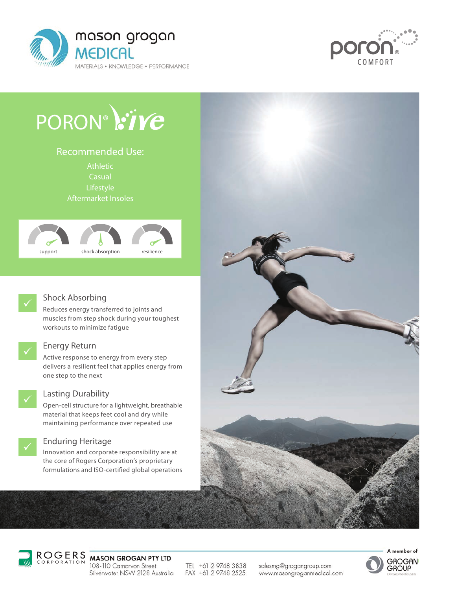



# PORON® :ive

Athletic **Casual** Lifestyle Aftermarket Insoles Recommended Use:





#### Shock Absorbing

Reduces energy transferred to joints and muscles from step shock during your toughest workouts to minimize fatigue



#### Energy Return

Active response to energy from every step delivers a resilient feel that applies energy from one step to the next



#### Lasting Durability

Open-cell structure for a lightweight, breathable material that keeps feet cool and dry while maintaining performance over repeated use

#### Enduring Heritage

Innovation and corporate responsibility are at the core of Rogers Corporation's proprietary formulations and ISO-certified global operations





## ROGERS<br>CORPORATION MASON GROGAN PTY LTD

108-110 Carnarvon Street Silverwater NSW 2128 Australia

TEL +61 2 9748 3838 FAX +61 2 9748 2525

salesmg@grogangroup.com www.masongroganmedical.com